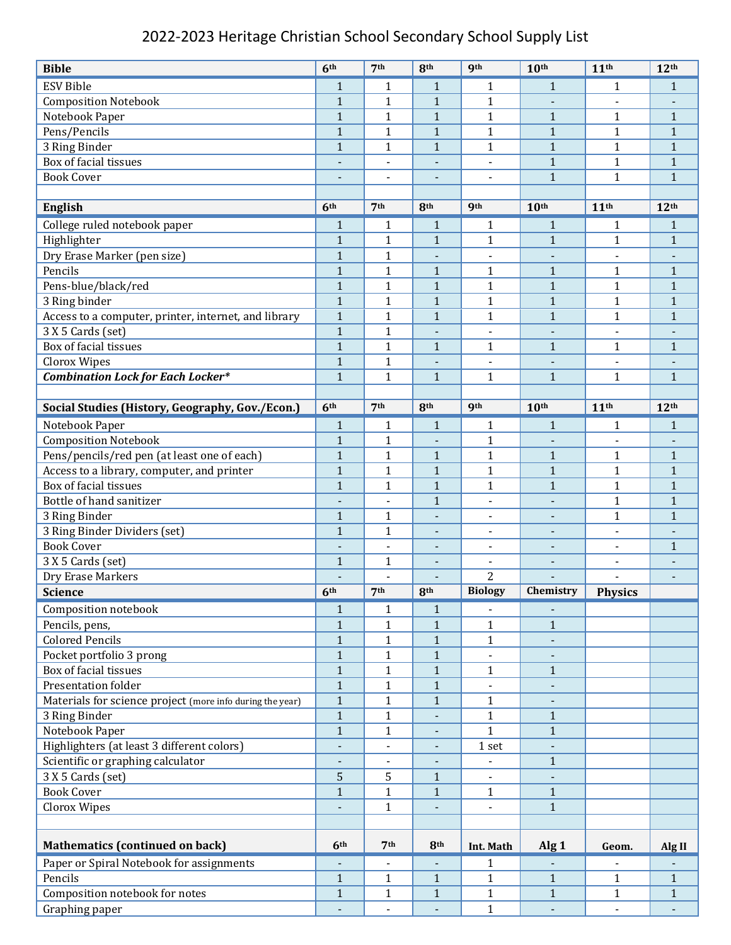## 2022-2023 Heritage Christian School Secondary School Supply List

| <b>Bible</b>                                              | 6 <sup>th</sup>              | 7 <sup>th</sup>          | 8th                          | <b>9th</b>               | 10 <sup>th</sup>         | 11 <sup>th</sup>         | 12 <sup>th</sup>         |
|-----------------------------------------------------------|------------------------------|--------------------------|------------------------------|--------------------------|--------------------------|--------------------------|--------------------------|
| <b>ESV Bible</b>                                          | $\mathbf{1}$                 | 1                        | $\mathbf{1}$                 | $\mathbf{1}$             | $\mathbf{1}$             | $\mathbf{1}$             | $\mathbf{1}$             |
| <b>Composition Notebook</b>                               | $\mathbf{1}$                 | $\mathbf{1}$             | $\mathbf{1}$                 | $\mathbf{1}$             |                          |                          |                          |
| Notebook Paper                                            | $\mathbf{1}$                 | $\mathbf{1}$             | $\mathbf{1}$                 | $\mathbf{1}$             | $\mathbf{1}$             | $\mathbf{1}$             | $\mathbf{1}$             |
| Pens/Pencils                                              | $\mathbf 1$                  | $\mathbf{1}$             | $\overline{1}$               | $\mathbf{1}$             | $\mathbf{1}$             | $\mathbf{1}$             | $\mathbf{1}$             |
| 3 Ring Binder                                             | $\mathbf{1}$                 | $\mathbf{1}$             | $\mathbf{1}$                 | $\mathbf{1}$             | $1\,$                    | $\mathbf{1}$             | $\mathbf{1}$             |
| Box of facial tissues                                     | $\overline{\phantom{a}}$     | $\overline{\phantom{a}}$ | $\overline{\phantom{a}}$     | $\overline{a}$           | $\mathbf{1}$             | $\mathbf{1}$             | $\mathbf{1}$             |
| <b>Book Cover</b>                                         | $\qquad \qquad \blacksquare$ | $\overline{a}$           | $\overline{\phantom{a}}$     | $\blacksquare$           | $\mathbf{1}$             | $\mathbf{1}$             | $\mathbf{1}$             |
|                                                           |                              |                          |                              |                          |                          |                          |                          |
| <b>English</b>                                            | 6 <sup>th</sup>              | 7 <sup>th</sup>          | 8 <sup>th</sup>              | <b>gth</b>               | 10 <sup>th</sup>         | 11 <sup>th</sup>         | 12 <sup>th</sup>         |
| College ruled notebook paper                              | $\mathbf{1}$                 | 1                        | 1                            | $\mathbf{1}$             | $\mathbf{1}$             | $\mathbf{1}$             | 1                        |
| Highlighter                                               | $\mathbf{1}$                 | $\mathbf{1}$             | $\mathbf{1}$                 | $\mathbf{1}$             | $\mathbf{1}$             | $\mathbf{1}$             | $\mathbf{1}$             |
| Dry Erase Marker (pen size)                               | $\mathbf{1}$                 | $\mathbf{1}$             | $\blacksquare$               | $\overline{a}$           | $\blacksquare$           | $\overline{a}$           | $\overline{\phantom{a}}$ |
| Pencils                                                   | $\mathbf{1}$                 | $\mathbf{1}$             | $\mathbf{1}$                 | $\mathbf{1}$             | $\mathbf{1}$             | 1                        | $\mathbf{1}$             |
| Pens-blue/black/red                                       | $\mathbf{1}$                 | $\mathbf{1}$             | $\mathbf{1}$                 | $\mathbf{1}$             | $\mathbf{1}$             | $\mathbf{1}$             | $\mathbf{1}$             |
| 3 Ring binder                                             | $\mathbf{1}$                 | $\mathbf{1}$             | $\mathbf{1}$                 | $\mathbf{1}$             | $\mathbf{1}$             | $\mathbf{1}$             | $\mathbf{1}$             |
| Access to a computer, printer, internet, and library      | $\mathbf{1}$                 | $\mathbf{1}$             | $\mathbf{1}$                 | $\mathbf{1}$             | $\mathbf{1}$             | $\mathbf{1}$             | $\mathbf{1}$             |
| 3 X 5 Cards (set)                                         | $\mathbf{1}$                 | $\mathbf{1}$             | $\overline{a}$               | $\overline{\phantom{a}}$ | $\blacksquare$           | $\overline{\phantom{a}}$ |                          |
| Box of facial tissues                                     | $\mathbf{1}$                 | $\mathbf{1}$             | $\mathbf{1}$                 | $\mathbf{1}$             | $\mathbf{1}$             | $\mathbf{1}$             | $\mathbf{1}$             |
| <b>Clorox Wipes</b>                                       | $\mathbf{1}$                 | $\mathbf{1}$             |                              |                          |                          |                          |                          |
| <b>Combination Lock for Each Locker*</b>                  | $\mathbf{1}$                 | $\mathbf{1}$             | $\mathbf{1}$                 | $\mathbf{1}$             | $\mathbf{1}$             | $\mathbf{1}$             | $\mathbf{1}$             |
|                                                           |                              |                          |                              |                          |                          |                          |                          |
| Social Studies (History, Geography, Gov./Econ.)           | 6 <sup>th</sup>              | 7 <sup>th</sup>          | 8th                          | <b>9th</b>               | 10 <sup>th</sup>         | 11 <sup>th</sup>         | 12 <sup>th</sup>         |
| Notebook Paper                                            | $\mathbf{1}$                 | 1                        | $\mathbf{1}$                 | $\mathbf{1}$             | $\mathbf{1}$             | $\mathbf{1}$             | 1                        |
| <b>Composition Notebook</b>                               | $\mathbf{1}$                 | $\mathbf{1}$             |                              | $\mathbf{1}$             |                          |                          |                          |
| Pens/pencils/red pen (at least one of each)               | $\mathbf{1}$                 | $\mathbf{1}$             | $\mathbf{1}$                 | $\mathbf{1}$             | $\mathbf{1}$             | $\mathbf{1}$             | $\mathbf{1}$             |
| Access to a library, computer, and printer                | $\mathbf{1}$                 | $\mathbf{1}$             | $\mathbf{1}$                 | $\mathbf{1}$             | $\mathbf{1}$             | 1                        | $\mathbf{1}$             |
| Box of facial tissues                                     | $\mathbf{1}$                 | $\mathbf{1}$             | $\mathbf{1}$                 | $\mathbf{1}$             | $\mathbf{1}$             | $\mathbf{1}$             | $\mathbf{1}$             |
| Bottle of hand sanitizer                                  |                              |                          | $\mathbf{1}$                 | $\overline{a}$           |                          | $\mathbf{1}$             | $\mathbf{1}$             |
| 3 Ring Binder                                             | $\mathbf{1}$                 | $\mathbf{1}$             | $\qquad \qquad \blacksquare$ |                          |                          | $\mathbf{1}$             | $\mathbf{1}$             |
| 3 Ring Binder Dividers (set)                              | $\mathbf{1}$                 | $\mathbf{1}$             | $\blacksquare$               | $\overline{\phantom{a}}$ | $\blacksquare$           | $\overline{\phantom{a}}$ |                          |
| <b>Book Cover</b>                                         | $\overline{\phantom{0}}$     | Ē,                       | $\overline{\phantom{a}}$     | $\blacksquare$           | $\overline{\phantom{a}}$ | $\overline{\phantom{a}}$ | $\mathbf{1}$             |
| 3 X 5 Cards (set)                                         | $\mathbf{1}$                 | $\mathbf{1}$             |                              |                          |                          |                          |                          |
| Dry Erase Markers                                         |                              |                          |                              | $\overline{2}$           |                          |                          | $\overline{\phantom{a}}$ |
| <b>Science</b>                                            | 6 <sup>th</sup>              | 7 <sup>th</sup>          | <b>Rth</b>                   | <b>Biology</b>           | Chemistry                | <b>Physics</b>           |                          |
| Composition notebook                                      | $\mathbf{1}$                 | $\mathbf{1}$             | $\mathbf{1}$                 |                          |                          |                          |                          |
| Pencils, pens,                                            | $\mathbf{1}$                 | $\mathbf{1}$             | $\mathbf{1}$                 | $\mathbf{1}$             | $\mathbf{1}$             |                          |                          |
| <b>Colored Pencils</b>                                    | $\mathbf 1$                  | $\mathbf{1}$             | $\mathbf{1}$                 | $\mathbf{1}$             |                          |                          |                          |
| Pocket portfolio 3 prong                                  | $\mathbf{1}$                 | $\mathbf{1}$             | $\mathbf{1}$                 |                          |                          |                          |                          |
| Box of facial tissues                                     | $\mathbf{1}$                 | $\mathbf{1}$             | $\mathbf{1}$                 | $\mathbf{1}$             | $\mathbf{1}$             |                          |                          |
| Presentation folder                                       | $\mathbf{1}$                 | $\mathbf{1}$             | $\mathbf{1}$                 | $\overline{\phantom{a}}$ | $\blacksquare$           |                          |                          |
| Materials for science project (more info during the year) | $\mathbf{1}$                 | $\mathbf{1}$             | $\mathbf{1}$                 | $\mathbf{1}$             |                          |                          |                          |
| 3 Ring Binder                                             | $\mathbf{1}$                 | $\mathbf{1}$             |                              | $\mathbf{1}$             | $\mathbf{1}$             |                          |                          |
| Notebook Paper                                            | $\mathbf{1}$                 | $\mathbf{1}$             | -                            | $\mathbf{1}$             | $\mathbf{1}$             |                          |                          |
| Highlighters (at least 3 different colors)                | $\overline{\phantom{a}}$     | $\blacksquare$           | $\qquad \qquad \blacksquare$ | $1$ set $\,$             |                          |                          |                          |
| Scientific or graphing calculator                         |                              |                          |                              |                          | $\mathbf{1}$             |                          |                          |
| 3 X 5 Cards (set)                                         | 5                            | 5                        | $\mathbf{1}$                 |                          |                          |                          |                          |
| <b>Book Cover</b>                                         | $\mathbf{1}$                 | $\mathbf{1}$             | $\mathbf{1}$                 | $\mathbf{1}$             | $\mathbf{1}$             |                          |                          |
| Clorox Wipes                                              | ÷,                           | $\mathbf{1}$             | $\blacksquare$               | $\blacksquare$           | $\mathbf{1}$             |                          |                          |
|                                                           |                              |                          |                              |                          |                          |                          |                          |
| <b>Mathematics (continued on back)</b>                    | 6 <sup>th</sup>              | 7 <sup>th</sup>          | 8 <sup>th</sup>              | Int. Math                | Alg <sub>1</sub>         | Geom.                    | Alg II                   |
| Paper or Spiral Notebook for assignments                  | -                            |                          | $\overline{\phantom{a}}$     | 1                        |                          |                          |                          |
| Pencils                                                   | $\mathbf{1}$                 | $\mathbf{1}$             | $\mathbf{1}$                 | $\mathbf{1}$             | $\mathbf{1}$             | $\mathbf{1}$             | $\mathbf{1}$             |
| Composition notebook for notes                            | $\mathbf{1}$                 | $\mathbf{1}$             | $\mathbf 1$                  | $\mathbf{1}$             | $\mathbf{1}$             | $\mathbf{1}$             | $\mathbf{1}$             |
| Graphing paper                                            |                              | $\Box$                   |                              | $\mathbf{1}$             |                          | $\overline{a}$           |                          |